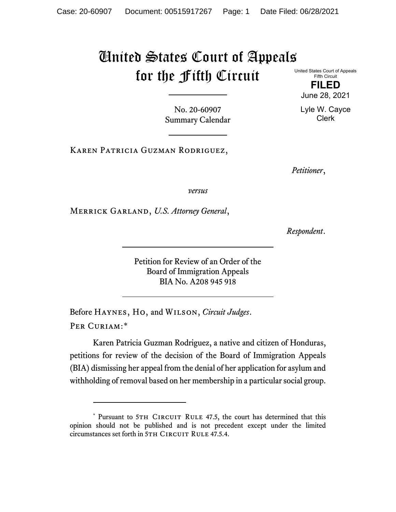## United States Court of Appeals for the Fifth Circuit

United States Court of Appeals Fifth Circuit

> **FILED** June 28, 2021

Lyle W. Cayce Clerk

No. 20-60907 Summary Calendar

Karen Patricia Guzman Rodriguez,

*Petitioner*,

*versus*

Merrick Garland, *U.S. Attorney General*,

*Respondent*.

Petition for Review of an Order of the Board of Immigration Appeals BIA No. A208 945 918

Before Haynes, Ho, and Wilson, *Circuit Judges*. Per Curiam:[\\*](#page-0-0)

Karen Patricia Guzman Rodriguez, a native and citizen of Honduras, petitions for review of the decision of the Board of Immigration Appeals (BIA) dismissing her appeal from the denial of her application for asylum and withholding of removal based on her membership in a particular social group.

<span id="page-0-0"></span><sup>\*</sup> Pursuant to 5TH CIRCUIT RULE 47.5, the court has determined that this opinion should not be published and is not precedent except under the limited circumstances set forth in 5TH CIRCUIT RULE 47.5.4.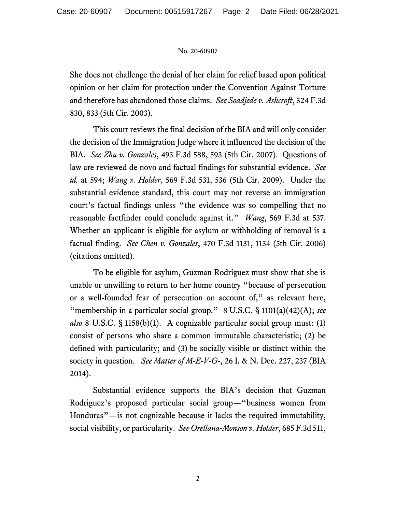## No. 20-60907

She does not challenge the denial of her claim for relief based upon political opinion or her claim for protection under the Convention Against Torture and therefore has abandoned those claims. *See Soadjede v. Ashcroft*, 324 F.3d 830, 833 (5th Cir. 2003).

This court reviews the final decision of the BIA and will only consider the decision of the Immigration Judge where it influenced the decision of the BIA. *See Zhu v. Gonzales*, 493 F.3d 588, 593 (5th Cir. 2007). Questions of law are reviewed de novo and factual findings for substantial evidence. *See id.* at 594; *Wang v. Holder*, 569 F.3d 531, 536 (5th Cir. 2009). Under the substantial evidence standard, this court may not reverse an immigration court's factual findings unless "the evidence was so compelling that no reasonable factfinder could conclude against it." *Wang*, 569 F.3d at 537. Whether an applicant is eligible for asylum or withholding of removal is a factual finding. *See Chen v. Gonzales*, 470 F.3d 1131, 1134 (5th Cir. 2006) (citations omitted).

To be eligible for asylum, Guzman Rodriguez must show that she is unable or unwilling to return to her home country "because of persecution or a well-founded fear of persecution on account of," as relevant here, "membership in a particular social group." 8 U.S.C. § 1101(a)(42)(A); see *also* 8 U.S.C. § 1158(b)(1). A cognizable particular social group must: (1) consist of persons who share a common immutable characteristic; (2) be defined with particularity; and (3) be socially visible or distinct within the society in question. *See Matter of M-E-V-G-*, 26 I. & N. Dec. 227, 237 (BIA 2014).

Substantial evidence supports the BIA's decision that Guzman Rodriguez's proposed particular social group—"business women from Honduras"—is not cognizable because it lacks the required immutability, social visibility, or particularity. *See Orellana-Monson v. Holder*, 685 F.3d 511,